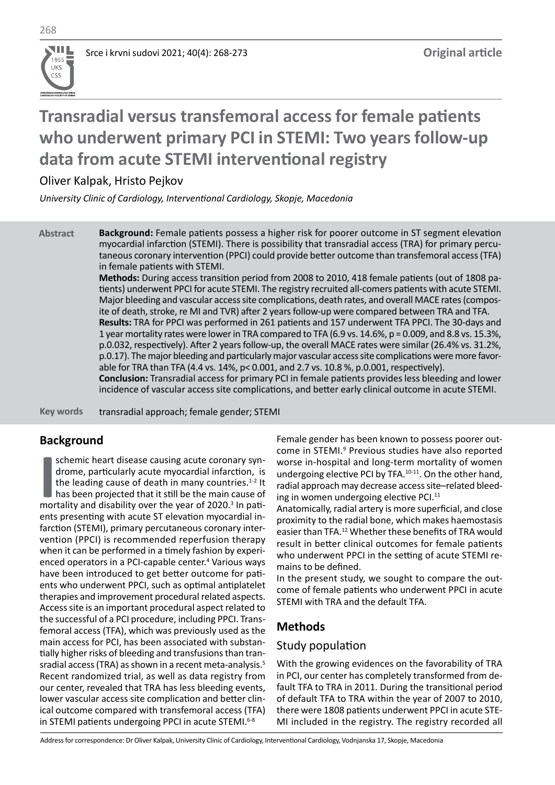**UDRUŽENJE KARDIOLOGA SRBIJE CARDIOLOGY SOCIETY OF SERBIA**

**UKS**  $\overline{CS}$ 

# **Transradial versus transfemoral access for female patients who underwent primary PCI in STEMI: Two years follow-up data from acute STEMI interventional registry**

Oliver Kalpak, Hristo Pejkov

*University Clinic of Cardiology, Interventional Cardiology, Skopje, Macedonia*

**Abstract Background:** Female patients possess a higher risk for poorer outcome in ST segment elevation myocardial infarction (STEMI). There is possibility that transradial access (TRA) for primary percutaneous coronary intervention (PPCI) could provide better outcome than transfemoral access (TFA) in female patients with STEMI.

**Methods:** During access transition period from 2008 to 2010, 418 female patients (out of 1808 patients) underwent PPCI for acute STEMI. The registry recruited all-comers patients with acute STEMI. Major bleeding and vascular access site complications, death rates, and overall MACE rates (composite of death, stroke, re MI and TVR) after 2 years follow-up were compared between TRA and TFA. **Results:** TRA for PPCI was performed in 261 patients and 157 underwent TFA PPCI. The 30-days and 1 year mortality rates were lower in TRA compared to TFA (6.9 vs. 14.6%, p = 0.009, and 8.8 vs. 15.3%, p.0.032, respectively). After 2 years follow-up, the overall MACE rates were similar (26.4% vs. 31.2%, p.0.17). The major bleeding and particularly major vascular access site complications were more favorable for TRA than TFA (4.4 vs. 14%, p< 0.001, and 2.7 vs. 10.8 %, p.0.001, respectively). **Conclusion:** Transradial access for primary PCI in female patients provides less bleeding and lower incidence of vascular access site complications, and better early clinical outcome in acute STEMI.

**Key words** transradial approach; female gender; STEMI

# **Background**

**II** schemic heart disease causing acute coronary syndrome, particularly acute myocardial infarction, is the leading cause of death in many countries.<sup>1-2</sup> It has been projected that it still be the main cause of mortality schemic heart disease causing acute coronary syndrome, particularly acute myocardial infarction, is the leading cause of death in many countries. $1-2$  It has been projected that it still be the main cause of ents presenting with acute ST elevation myocardial infarction (STEMI), primary percutaneous coronary intervention (PPCI) is recommended reperfusion therapy when it can be performed in a timely fashion by experienced operators in a PCI-capable center.<sup>4</sup> Various ways have been introduced to get better outcome for patients who underwent PPCI, such as optimal antiplatelet therapies and improvement procedural related aspects. Access site is an important procedural aspect related to the successful of a PCI procedure, including PPCI. Transfemoral access (TFA), which was previously used as the main access for PCI, has been associated with substantially higher risks of bleeding and transfusions than transradial access (TRA) as shown in a recent meta-analysis.<sup>5</sup> Recent randomized trial, as well as data registry from our center, revealed that TRA has less bleeding events, lower vascular access site complication and better clinical outcome compared with transfemoral access (TFA) in STEMI patients undergoing PPCI in acute STEMI.<sup>6-8</sup>

Female gender has been known to possess poorer outcome in STEMI.<sup>9</sup> Previous studies have also reported worse in-hospital and long-term mortality of women undergoing elective PCI by TFA.<sup>10-11</sup>. On the other hand, radial approach may decrease access site–related bleeding in women undergoing elective PCI.<sup>11</sup>

Anatomically, radial artery is more superficial, and close proximity to the radial bone, which makes haemostasis easier than TFA.12 Whether these benefits of TRA would result in better clinical outcomes for female patients who underwent PPCI in the setting of acute STEMI remains to be defined.

In the present study, we sought to compare the outcome of female patients who underwent PPCI in acute STEMI with TRA and the default TFA.

# **Methods**

## Study population

With the growing evidences on the favorability of TRA in PCI, our center has completely transformed from default TFA to TRA in 2011. During the transitional period of default TFA to TRA within the year of 2007 to 2010, there were 1808 patients underwent PPCI in acute STE-MI included in the registry. The registry recorded all

Address for correspondence: Dr Oliver Kalpak, University Clinic of Cardiology, Interventional Cardiology, Vodnjanska 17, Skopje, Macedonia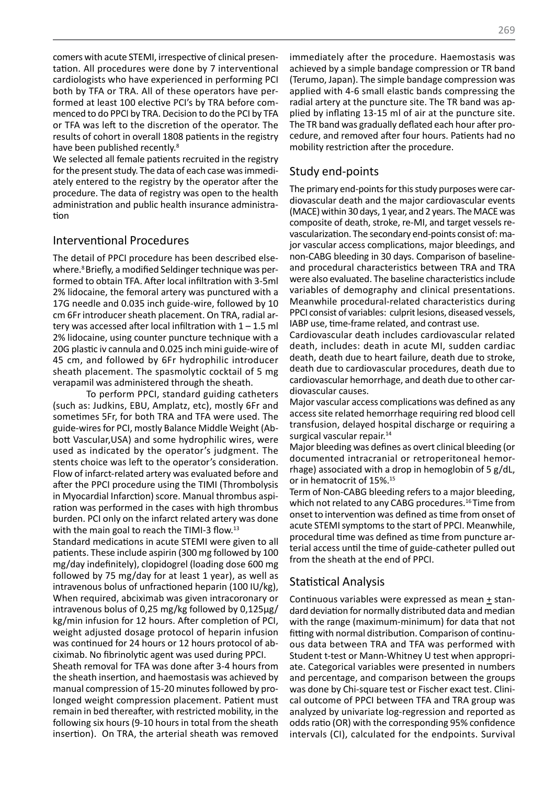comers with acute STEMI, irrespective of clinical presentation. All procedures were done by 7 interventional cardiologists who have experienced in performing PCI both by TFA or TRA. All of these operators have performed at least 100 elective PCI's by TRA before commenced to do PPCI by TRA. Decision to do the PCI by TFA or TFA was left to the discretion of the operator. The results of cohort in overall 1808 patients in the registry have been published recently.<sup>8</sup>

We selected all female patients recruited in the registry for the present study. The data of each case was immediately entered to the registry by the operator after the procedure. The data of registry was open to the health administration and public health insurance administration

### Interventional Procedures

The detail of PPCI procedure has been described elsewhere.<sup>8</sup> Briefly, a modified Seldinger technique was performed to obtain TFA. After local infiltration with 3-5ml 2% lidocaine, the femoral artery was punctured with a 17G needle and 0.035 inch guide-wire, followed by 10 cm 6Fr introducer sheath placement. On TRA, radial artery was accessed after local infiltration with  $1 - 1.5$  ml 2% lidocaine, using counter puncture technique with a 20G plastic iv cannula and 0.025 inch mini guide-wire of 45 cm, and followed by 6Fr hydrophilic introducer sheath placement. The spasmolytic cocktail of 5 mg verapamil was administered through the sheath.

To perform PPCI, standard guiding catheters (such as: Judkins, EBU, Amplatz, etc), mostly 6Fr and sometimes 5Fr, for both TRA and TFA were used. The guide-wires for PCI, mostly Balance Middle Weight (Abbott Vascular,USA) and some hydrophilic wires, were used as indicated by the operator's judgment. The stents choice was left to the operator's consideration. Flow of infarct-related artery was evaluated before and after the PPCI procedure using the TIMI (Thrombolysis in Myocardial Infarction) score. Manual thrombus aspiration was performed in the cases with high thrombus burden. PCI only on the infarct related artery was done with the main goal to reach the TIMI-3 flow.<sup>13</sup>

Standard medications in acute STEMI were given to all patients. These include aspirin (300 mg followed by 100 mg/day indefinitely), clopidogrel (loading dose 600 mg followed by 75 mg/day for at least 1 year), as well as intravenous bolus of unfractioned heparin (100 IU/kg), When required, abciximab was given intracoronary or intravenous bolus of 0,25 mg/kg followed by 0,125μg/ kg/min infusion for 12 hours. After completion of PCI, weight adjusted dosage protocol of heparin infusion was continued for 24 hours or 12 hours protocol of abciximab. No fibrinolytic agent was used during PPCI.

Sheath removal for TFA was done after 3-4 hours from the sheath insertion, and haemostasis was achieved by manual compression of 15-20 minutes followed by prolonged weight compression placement. Patient must remain in bed thereafter, with restricted mobility, in the following six hours (9-10 hours in total from the sheath insertion). On TRA, the arterial sheath was removed immediately after the procedure. Haemostasis was achieved by a simple bandage compression or TR band (Terumo, Japan). The simple bandage compression was applied with 4-6 small elastic bands compressing the radial artery at the puncture site. The TR band was applied by inflating 13-15 ml of air at the puncture site. The TR band was gradually deflated each hour after procedure, and removed after four hours. Patients had no mobility restriction after the procedure.

# Study end-points

The primary end-points for this study purposes were cardiovascular death and the major cardiovascular events (MACE) within 30 days, 1 year, and 2 years. The MACE was composite of death, stroke, re-MI, and target vessels revascularization. The secondary end-points consist of: major vascular access complications, major bleedings, and non-CABG bleeding in 30 days. Comparison of baselineand procedural characteristics between TRA and TRA were also evaluated. The baseline characteristics include variables of demography and clinical presentations. Meanwhile procedural-related characteristics during PPCI consist of variables: culprit lesions, diseased vessels, IABP use, time-frame related, and contrast use.

Cardiovascular death includes cardiovascular related death, includes: death in acute MI, sudden cardiac death, death due to heart failure, death due to stroke, death due to cardiovascular procedures, death due to cardiovascular hemorrhage, and death due to other cardiovascular causes.

Major vascular access complications was defined as any access site related hemorrhage requiring red blood cell transfusion, delayed hospital discharge or requiring a surgical vascular repair.<sup>14</sup>

Major bleeding was defines as overt clinical bleeding (or documented intracranial or retroperitoneal hemorrhage) associated with a drop in hemoglobin of 5 g/dL, or in hematocrit of 15%.15

Term of Non-CABG bleeding refers to a major bleeding, which not related to any CABG procedures.<sup>16</sup> Time from onset to intervention was defined as time from onset of acute STEMI symptoms to the start of PPCI. Meanwhile, procedural time was defined as time from puncture arterial access until the time of guide-catheter pulled out from the sheath at the end of PPCI.

## Statistical Analysis

Continuous variables were expressed as mean + standard deviation for normally distributed data and median with the range (maximum-minimum) for data that not fitting with normal distribution. Comparison of continuous data between TRA and TFA was performed with Student t-test or Mann-Whitney U test when appropriate. Categorical variables were presented in numbers and percentage, and comparison between the groups was done by Chi-square test or Fischer exact test. Clinical outcome of PPCI between TFA and TRA group was analyzed by univariate log-regression and reported as odds ratio (OR) with the corresponding 95% confidence intervals (CI), calculated for the endpoints. Survival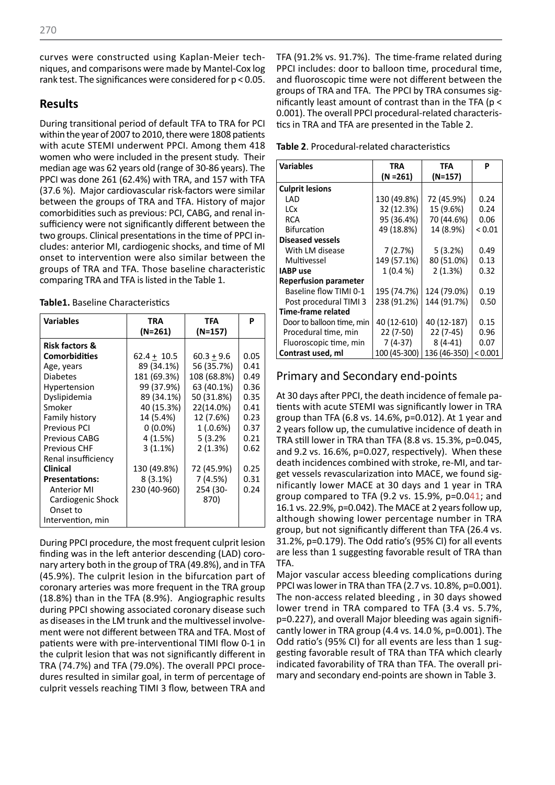curves were constructed using Kaplan-Meier techniques, and comparisons were made by Mantel-Cox log rank test. The significances were considered for p < 0.05.

## **Results**

During transitional period of default TFA to TRA for PCI within the year of 2007 to 2010, there were 1808 patients with acute STEMI underwent PPCI. Among them 418 women who were included in the present study. Their median age was 62 years old (range of 30-86 years). The PPCI was done 261 (62.4%) with TRA, and 157 with TFA (37.6 %). Major cardiovascular risk-factors were similar between the groups of TRA and TFA. History of major comorbidities such as previous: PCI, CABG, and renal insufficiency were not significantly different between the two groups. Clinical presentations in the time of PPCI includes: anterior MI, cardiogenic shocks, and time of MI onset to intervention were also similar between the groups of TRA and TFA. Those baseline characteristic comparing TRA and TFA is listed in the Table 1.

|  |  | <b>Table1.</b> Baseline Characteristics |  |
|--|--|-----------------------------------------|--|
|--|--|-----------------------------------------|--|

| <b>Variables</b>          | TRA<br>(N=261) | <b>TFA</b><br>(N=157) | P    |
|---------------------------|----------------|-----------------------|------|
| <b>Risk factors &amp;</b> |                |                       |      |
| Comorbidities             | $62.4 + 10.5$  | $60.3 + 9.6$          | 0.05 |
| Age, years                | 89 (34.1%)     | 56 (35.7%)            | 0.41 |
| <b>Diabetes</b>           | 181 (69.3%)    | 108 (68.8%)           | 0.49 |
| Hypertension              | 99 (37.9%)     | 63 (40.1%)            | 0.36 |
| Dyslipidemia              | 89 (34.1%)     | 50 (31.8%)            | 0.35 |
| Smoker                    | 40 (15.3%)     | 22(14.0%)             | 0.41 |
| Family history            | 14 (5.4%)      | 12 (7.6%)             | 0.23 |
| <b>Previous PCI</b>       | $0(0.0\%)$     | 1(.0.6%)              | 0.37 |
| <b>Previous CABG</b>      | 4 (1.5%)       | 5(3.2%                | 0.21 |
| <b>Previous CHF</b>       | 3(1.1%)        | 2(1.3%)               | 0.62 |
| Renal insufficiency       |                |                       |      |
| <b>Clinical</b>           | 130 (49.8%)    | 72 (45.9%)            | 0.25 |
| <b>Presentations:</b>     | $8(3.1\%)$     | 7(4.5%)               | 0.31 |
| <b>Anterior MI</b>        | 230 (40-960)   | 254 (30-              | 0.24 |
| Cardiogenic Shock         |                | 870)                  |      |
| Onset to                  |                |                       |      |
| Intervention, min         |                |                       |      |

During PPCI procedure, the most frequent culprit lesion finding was in the left anterior descending (LAD) coronary artery both in the group of TRA (49.8%), and in TFA (45.9%). The culprit lesion in the bifurcation part of coronary arteries was more frequent in the TRA group (18.8%) than in the TFA (8.9%). Angiographic results during PPCI showing associated coronary disease such as diseases in the LM trunk and the multivessel involvement were not different between TRA and TFA. Most of patients were with pre-interventional TIMI flow 0-1 in the culprit lesion that was not significantly different in TRA (74.7%) and TFA (79.0%). The overall PPCI procedures resulted in similar goal, in term of percentage of culprit vessels reaching TIMI 3 flow, between TRA and

TFA (91.2% vs. 91.7%). The time-frame related during PPCI includes: door to balloon time, procedural time, and fluoroscopic time were not different between the groups of TRA and TFA. The PPCI by TRA consumes significantly least amount of contrast than in the TFA (p < 0.001). The overall PPCI procedural-related characteristics in TRA and TFA are presented in the Table 2.

**Table 2**. Procedural-related characteristics

| <b>Variables</b>             | <b>TRA</b>   | TFA          | P          |
|------------------------------|--------------|--------------|------------|
|                              | $(N = 261)$  | $(N=157)$    |            |
| <b>Culprit lesions</b>       |              |              |            |
| LAD                          | 130 (49.8%)  | 72 (45.9%)   | 0.24       |
| LCx                          | 32 (12.3%)   | 15 (9.6%)    | 0.24       |
| <b>RCA</b>                   | 95 (36.4%)   | 70 (44.6%)   | 0.06       |
| <b>Bifurcation</b>           | 49 (18.8%)   | 14 (8.9%)    | ${}< 0.01$ |
| <b>Diseased vessels</b>      |              |              |            |
| With LM disease              | 7(2.7%)      | 5(3.2%)      | 0.49       |
| Multivessel                  | 149 (57.1%)  | 80 (51.0%)   | 0.13       |
| <b>IABP</b> use              | 1(0.4%       | 2(1.3%)      | 0.32       |
| <b>Reperfusion parameter</b> |              |              |            |
| Baseline flow TIMI 0-1       | 195 (74.7%)  | 124 (79.0%)  | 0.19       |
| Post procedural TIMI 3       | 238 (91.2%)  | 144 (91.7%)  | 0.50       |
| Time-frame related           |              |              |            |
| Door to balloon time, min    | 40 (12-610)  | 40 (12-187)  | 0.15       |
| Procedural time, min         | $22(7-50)$   | $22(7-45)$   | 0.96       |
| Fluoroscopic time, min       | $7(4-37)$    | $8(4-41)$    | 0.07       |
| Contrast used, ml            | 100 (45-300) | 136 (46-350) | < 0.001    |

# Primary and Secondary end-points

At 30 days after PPCI, the death incidence of female patients with acute STEMI was significantly lower in TRA group than TFA (6.8 vs. 14.6%, p=0.012). At 1 year and 2 years follow up, the cumulative incidence of death in TRA still lower in TRA than TFA (8.8 vs. 15.3%, p=0.045, and 9.2 vs. 16.6%, p=0.027, respectively). When these death incidences combined with stroke, re-MI, and target vessels revascularization into MACE, we found significantly lower MACE at 30 days and 1 year in TRA group compared to TFA  $(9.2 \text{ vs. } 15.9\%$ ,  $p=0.041$ ; and 16.1 vs. 22.9%, p=0.042). The MACE at 2 years follow up, although showing lower percentage number in TRA group, but not significantly different than TFA (26.4 vs. 31.2%, p=0.179). The Odd ratio's (95% CI) for all events are less than 1 suggesting favorable result of TRA than TFA.

Major vascular access bleeding complications during PPCI was lower in TRA than TFA (2.7 vs. 10.8%, p=0.001). The non-access related bleeding , in 30 days showed lower trend in TRA compared to TFA (3.4 vs. 5.7%, p=0.227), and overall Major bleeding was again significantly lower in TRA group (4.4 vs. 14.0 %, p=0.001). The Odd ratio's (95% CI) for all events are less than 1 suggesting favorable result of TRA than TFA which clearly indicated favorability of TRA than TFA. The overall primary and secondary end-points are shown in Table 3.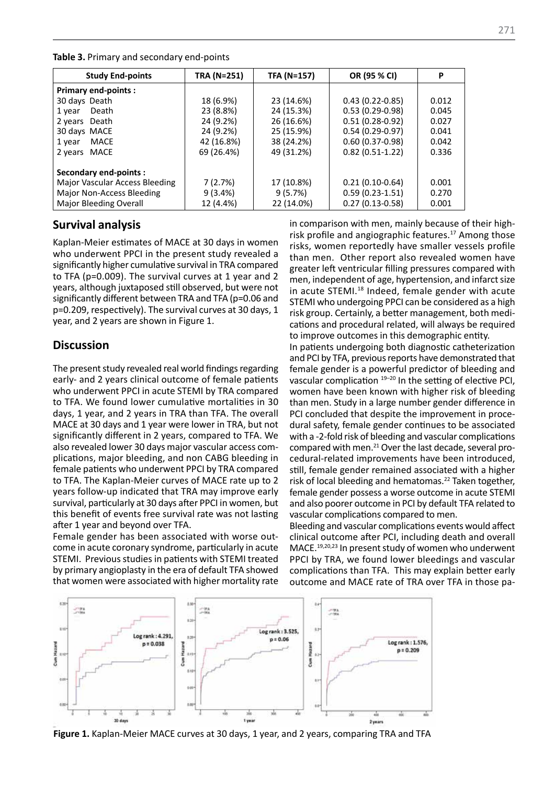| <b>Study End-points</b>        | TRA (N=251) | <b>TFA (N=157)</b> | OR (95 % CI)      | Ρ     |
|--------------------------------|-------------|--------------------|-------------------|-------|
| <b>Primary end-points:</b>     |             |                    |                   |       |
| 30 days Death                  | 18 (6.9%)   | 23 (14.6%)         | $0.43(0.22-0.85)$ | 0.012 |
| Death<br>1 year                | 23 (8.8%)   | 24 (15.3%)         | $0.53(0.29-0.98)$ | 0.045 |
| 2 years Death                  | 24 (9.2%)   | 26 (16.6%)         | $0.51(0.28-0.92)$ | 0.027 |
| 30 days MACE                   | 24 (9.2%)   | 25 (15.9%)         | $0.54(0.29-0.97)$ | 0.041 |
| MACE<br>1 year                 | 42 (16.8%)  | 38 (24.2%)         | $0.60(0.37-0.98)$ | 0.042 |
| MACE<br>2 years                | 69 (26.4%)  | 49 (31.2%)         | $0.82(0.51-1.22)$ | 0.336 |
| Secondary end-points :         |             |                    |                   |       |
| Major Vascular Access Bleeding | 7(2.7%)     | 17 (10.8%)         | $0.21(0.10-0.64)$ | 0.001 |
| Major Non-Access Bleeding      | $9(3.4\%)$  | 9(5.7%)            | $0.59(0.23-1.51)$ | 0.270 |
| Major Bleeding Overall         | 12 (4.4%)   | 22 (14.0%)         | $0.27(0.13-0.58)$ | 0.001 |

**Table 3.** Primary and secondary end-points

#### **Survival analysis**

Kaplan-Meier estimates of MACE at 30 days in women who underwent PPCI in the present study revealed a significantly higher cumulative survival in TRA compared to TFA (p=0.009). The survival curves at 1 year and 2 years, although juxtaposed still observed, but were not significantly different between TRA and TFA (p=0.06 and p=0.209, respectively). The survival curves at 30 days, 1 year, and 2 years are shown in Figure 1.

### **Discussion**

The present study revealed real world findings regarding early- and 2 years clinical outcome of female patients who underwent PPCI in acute STEMI by TRA compared to TFA. We found lower cumulative mortalities in 30 days, 1 year, and 2 years in TRA than TFA. The overall MACE at 30 days and 1 year were lower in TRA, but not significantly different in 2 years, compared to TFA. We also revealed lower 30 days major vascular access complications, major bleeding, and non CABG bleeding in female patients who underwent PPCI by TRA compared to TFA. The Kaplan-Meier curves of MACE rate up to 2 years follow-up indicated that TRA may improve early survival, particularly at 30 days after PPCI in women, but this benefit of events free survival rate was not lasting after 1 year and beyond over TFA.

Female gender has been associated with worse outcome in acute coronary syndrome, particularly in acute STEMI. Previous studies in patients with STEMI treated by primary angioplasty in the era of default TFA showed that women were associated with higher mortality rate

in comparison with men, mainly because of their highrisk profile and angiographic features.<sup>17</sup> Among those risks, women reportedly have smaller vessels profile than men. Other report also revealed women have greater left ventricular filling pressures compared with men, independent of age, hypertension, and infarct size in acute STEMI.18 Indeed, female gender with acute STEMI who undergoing PPCI can be considered as a high risk group. Certainly, a better management, both medications and procedural related, will always be required to improve outcomes in this demographic entity.

In patients undergoing both diagnostic catheterization and PCI by TFA, previous reports have demonstrated that female gender is a powerful predictor of bleeding and vascular complication <sup>19-20</sup> In the setting of elective PCI, women have been known with higher risk of bleeding than men. Study in a large number gender difference in PCI concluded that despite the improvement in procedural safety, female gender continues to be associated with a -2-fold risk of bleeding and vascular complications compared with men.21 Over the last decade, several procedural-related improvements have been introduced, still, female gender remained associated with a higher risk of local bleeding and hematomas.22 Taken together, female gender possess a worse outcome in acute STEMI and also poorer outcome in PCI by default TFA related to vascular complications compared to men.

Bleeding and vascular complications events would affect clinical outcome after PCI, including death and overall MACE.19,20,23 In present study of women who underwent PPCI by TRA, we found lower bleedings and vascular complications than TFA. This may explain better early outcome and MACE rate of TRA over TFA in those pa-



**Figure 1.** Kaplan-Meier MACE curves at 30 days, 1 year, and 2 years, comparing TRA and TFA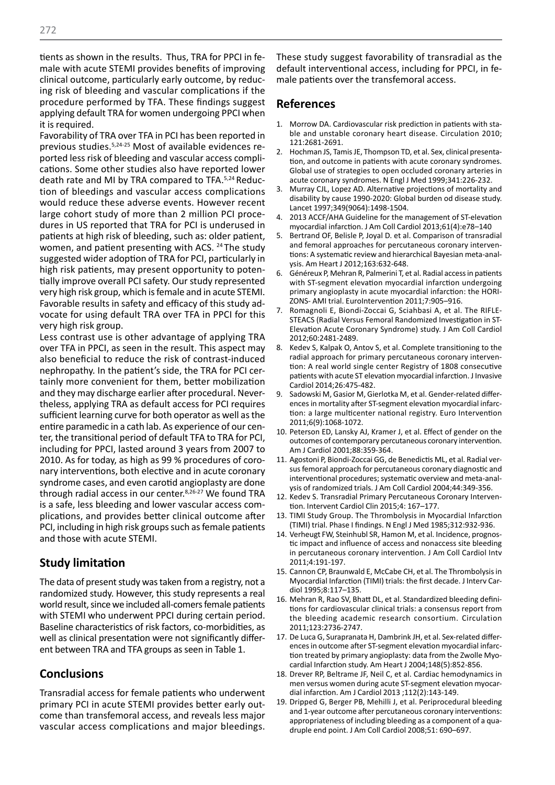tients as shown in the results. Thus, TRA for PPCI in female with acute STEMI provides benefits of improving clinical outcome, particularly early outcome, by reducing risk of bleeding and vascular complications if the procedure performed by TFA. These findings suggest applying default TRA for women undergoing PPCI when it is required.

Favorability of TRA over TFA in PCI has been reported in previous studies.5,24-25 Most of available evidences reported less risk of bleeding and vascular access complications. Some other studies also have reported lower death rate and MI by TRA compared to TFA.5,24 Reduction of bleedings and vascular access complications would reduce these adverse events. However recent large cohort study of more than 2 million PCI procedures in US reported that TRA for PCI is underused in patients at high risk of bleeding, such as: older patient, women, and patient presenting with ACS. <sup>24</sup> The study suggested wider adoption of TRA for PCI, particularly in high risk patients, may present opportunity to potentially improve overall PCI safety. Our study represented very high risk group, which is female and in acute STEMI. Favorable results in safety and efficacy of this study advocate for using default TRA over TFA in PPCI for this very high risk group.

Less contrast use is other advantage of applying TRA over TFA in PPCI, as seen in the result. This aspect may also beneficial to reduce the risk of contrast-induced nephropathy. In the patient's side, the TRA for PCI certainly more convenient for them, better mobilization and they may discharge earlier after procedural. Nevertheless, applying TRA as default access for PCI requires sufficient learning curve for both operator as well as the entire paramedic in a cath lab. As experience of our center, the transitional period of default TFA to TRA for PCI, including for PPCI, lasted around 3 years from 2007 to 2010. As for today, as high as 99 % procedures of coronary interventions, both elective and in acute coronary syndrome cases, and even carotid angioplasty are done through radial access in our center.<sup>8,26-27</sup> We found TRA is a safe, less bleeding and lower vascular access complications, and provides better clinical outcome after PCI, including in high risk groups such as female patients and those with acute STEMI.

## **Study limitation**

The data of present study was taken from a registry, not a randomized study. However, this study represents a real world result, since we included all-comers female patients with STEMI who underwent PPCI during certain period. Baseline characteristics of risk factors, co-morbidities, as well as clinical presentation were not significantly different between TRA and TFA groups as seen in Table 1.

### **Conclusions**

Transradial access for female patients who underwent primary PCI in acute STEMI provides better early outcome than transfemoral access, and reveals less major vascular access complications and major bleedings. These study suggest favorability of transradial as the default interventional access, including for PPCI, in female patients over the transfemoral access.

#### **References**

- 1. Morrow DA. Cardiovascular risk prediction in patients with stable and unstable coronary heart disease. Circulation 2010; 121:2681-2691.
- 2. Hochman JS, Tamis JE, Thompson TD, et al. Sex, clinical presentation, and outcome in patients with acute coronary syndromes. Global use of strategies to open occluded coronary arteries in acute coronary syndromes. N Engl J Med 1999;341:226-232.
- 3. Murray CJL, Lopez AD. Alternative projections of mortality and disability by cause 1990-2020: Global burden od disease study. Lancet 1997;349(9064):1498-1504.
- 2013 ACCF/AHA Guideline for the management of ST-elevation myocardial infarction. J Am Coll Cardiol 2013;61(4):e78–140
- 5. Bertrand OF, Belisle P, Joyal D. et al. Comparison of transradial and femoral approaches for percutaneous coronary interventions: A systematic review and hierarchical Bayesian meta-analysis. Am Heart J 2012;163:632-648.
- 6. Généreux P, Mehran R, Palmerini T, et al. Radial access in patients with ST-segment elevation myocardial infarction undergoing primary angioplasty in acute myocardial infarction: the HORI-ZONS- AMI trial. EuroIntervention 2011;7:905–916.
- 7. Romagnoli E, Biondi-Zoccai G, Sciahbasi A, et al. The RIFLE-STEACS (Radial Versus Femoral Randomized Investigation in ST-Elevation Acute Coronary Syndrome) study. J Am Coll Cardiol 2012;60:2481-2489.
- 8. Kedev S, Kalpak O, Antov S, et al. Complete transitioning to the radial approach for primary percutaneous coronary intervention: A real world single center Registry of 1808 consecutive patients with acute ST elevation myocardial infarction. J Invasive Cardiol 2014;26:475-482.
- 9. Sadowski M, Gasior M, Gierlotka M, et al. Gender-related differences in mortality after ST-segment elevation myocardial infarction: a large multicenter national registry. Euro Intervention 2011;6(9):1068-1072.
- 10. Peterson ED, Lansky AJ, Kramer J, et al. Effect of gender on the outcomes of contemporary percutaneous coronary intervention. Am J Cardiol 2001;88:359-364.
- 11. Agostoni P, Biondi-Zoccai GG, de Benedictis ML, et al. Radial versus femoral approach for percutaneous coronary diagnostic and interventional procedures; systematic overview and meta-analysis of randomized trials. J Am Coll Cardiol 2004;44:349-356.
- 12. Kedev S. Transradial Primary Percutaneous Coronary Intervention. Intervent Cardiol Clin 2015;4: 167–177.
- 13. TIMI Study Group. The Thrombolysis in Myocardial Infarction (TIMI) trial. Phase I findings. N Engl J Med 1985;312:932-936.
- 14. Verheugt FW, Steinhubl SR, Hamon M, et al. Incidence, prognostic impact and influence of access and nonaccess site bleeding in percutaneous coronary intervention. J Am Coll Cardiol Intv 2011;4:191-197.
- 15. Cannon CP, Braunwald E, McCabe CH, et al. The Thrombolysis in Myocardial Infarction (TIMI) trials: the first decade. J Interv Cardiol 1995;8:117–135.
- 16. Mehran R, Rao SV, Bhatt DL, et al. Standardized bleeding definitions for cardiovascular clinical trials: a consensus report from the bleeding academic research consortium. Circulation 2011;123:2736-2747.
- 17. De Luca G, Surapranata H, Dambrink JH, et al. Sex-related differences in outcome after ST-segment elevation myocardial infarction treated by primary angioplasty: data from the Zwolle Myocardial Infarction study. Am Heart J 2004;148(5):852-856.
- 18. Drever RP, Beltrame JF, Neil C, et al. Cardiac hemodynamics in men versus women during acute ST-segment elevation myocardial infarction. Am J Cardiol 2013 ;112(2):143-149.
- 19. Dripped G, Berger PB, Mehilli J, et al. Periprocedural bleeding and 1-year outcome after percutaneous coronary interventions: appropriateness of including bleeding as a component of a quadruple end point. J Am Coll Cardiol 2008;51: 690–697.